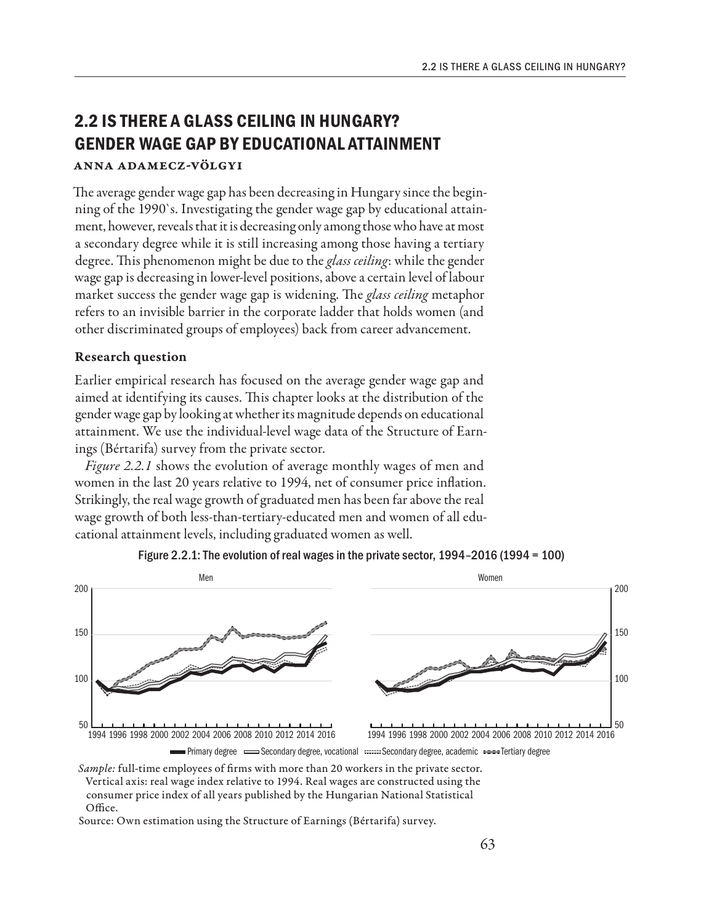# **2.2 IS THERE A GLASS CEILING IN HUNGARY? GENDER WAGE GAP BY EDUCATIONAL ATTAINMENT** Anna Adamecz-Völgyi

The average gender wage gap has been decreasing in Hungary since the beginning of the 1990`s. Investigating the gender wage gap by educational attainment, however, reveals that it is decreasing only among those who have at most a secondary degree while it is still increasing among those having a tertiary degree. This phenomenon might be due to the *glass ceiling*: while the gender wage gap is decreasing in lower-level positions, above a certain level of labour market success the gender wage gap is widening. The *glass ceiling* metaphor refers to an invisible barrier in the corporate ladder that holds women (and other discriminated groups of employees) back from career advancement.

## Research question

Earlier empirical research has focused on the average gender wage gap and aimed at identifying its causes. This chapter looks at the distribution of the gender wage gap by looking at whether its magnitude depends on educational attainment. We use the individual-level wage data of the Structure of Earnings (Bértarifa) survey from the private sector.

*Figure 2.2.1* shows the evolution of average monthly wages of men and women in the last 20 years relative to 1994, net of consumer price inflation. Strikingly, the real wage growth of graduated men has been far above the real wage growth of both less-than-tertiary-educated men and women of all educational attainment levels, including graduated women as well.





*Sample:* full-time employees of firms with more than 20 workers in the private sector. Vertical axis: real wage index relative to 1994. Real wages are constructed using the consumer price index of all years published by the Hungarian National Statistical Office.

Source: Own estimation using the Structure of Earnings (Bértarifa) survey.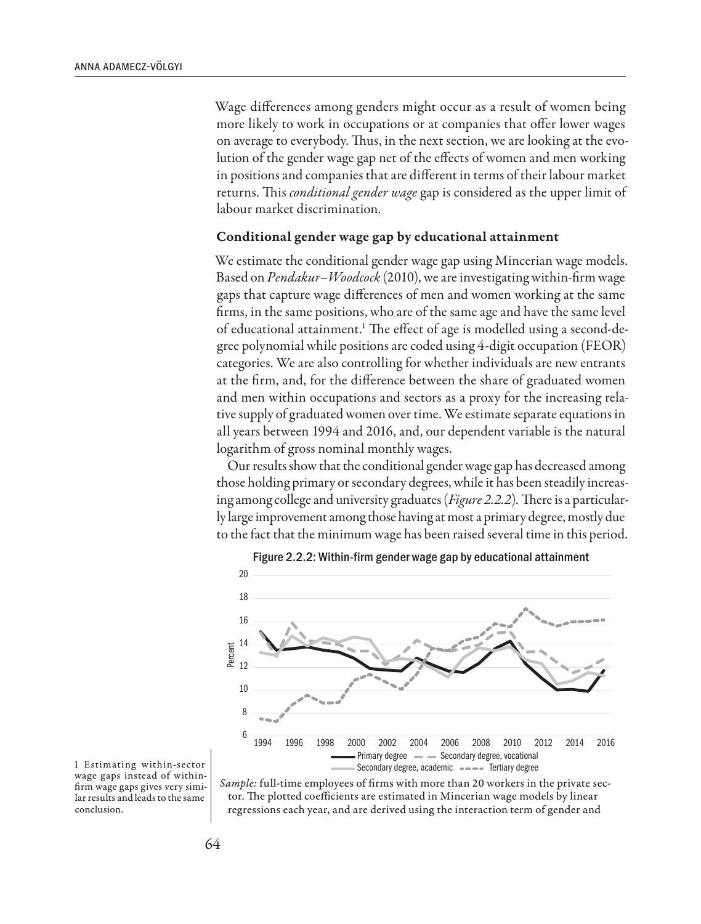Wage differences among genders might occur as a result of women being more likely to work in occupations or at companies that offer lower wages on average to everybody. Thus, in the next section, we are looking at the evolution of the gender wage gap net of the effects of women and men working in positions and companies that are different in terms of their labour market returns. This *conditional gender wage* gap is considered as the upper limit of labour market discrimination.

#### Conditional gender wage gap by educational attainment

We estimate the conditional gender wage gap using Mincerian wage models. Based on *Pendakur–Woodcock* (2010), we are investigating within-firm wage gaps that capture wage differences of men and women working at the same firms, in the same positions, who are of the same age and have the same level of educational attainment.<sup>1</sup> The effect of age is modelled using a second-degree polynomial while positions are coded using 4-digit occupation (FEOR) categories. We are also controlling for whether individuals are new entrants at the firm, and, for the difference between the share of graduated women and men within occupations and sectors as a proxy for the increasing relative supply of graduated women over time. We estimate separate equations in all years between 1994 and 2016, and, our dependent variable is the natural logarithm of gross nominal monthly wages.

Our results show that the conditional gender wage gap has decreased among those holding primary or secondary degrees, while it has been steadily increasing among college and university graduates (*Figure 2.2.2*)*.* There is a particularly large improvement among those having at most a primary degree, mostly due to the fact that the minimum wage has been raised several time in this period.





1 Estimating within-sector wage gaps instead of withinfirm wage gaps gives very similar results and leads to the same conclusion.

*Sample:* full-time employees of firms with more than 20 workers in the private sector. The plotted coefficients are estimated in Mincerian wage models by linear regressions each year, and are derived using the interaction term of gender and